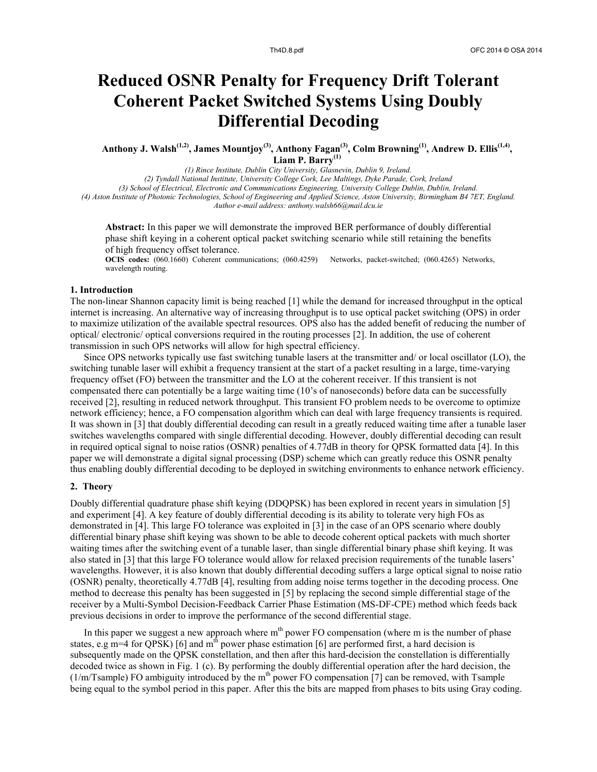# **Reduced OSNR Penalty for Frequency Drift Tolerant Coherent Packet Switched Systems Using Doubly Differential Decoding**

**Anthony J. Walsh(1,2) , James Mountjoy(3), Anthony Fagan(3) , Colm Browning(1) , Andrew D. Ellis(1,4) , Liam P. Barry(1)**

*(1) Rince Institute, Dublin City University, Glasnevin, Dublin 9, Ireland.*

*(2) Tyndall National Institute, University College Cork, Lee Maltings, Dyke Parade, Cork, Ireland*

*(3) School of Electrical, Electronic and Communications Engineering, University College Dublin, Dublin, Ireland. (4) Aston Institute of Photonic Technologies, School of Engineering and Applied Science, Aston University, Birmingham B4 7ET, England.*

*Author e-mail address: anthony.walsh66@mail.dcu.ie*

**Abstract:** In this paper we will demonstrate the improved BER performance of doubly differential phase shift keying in a coherent optical packet switching scenario while still retaining the benefits of high frequency offset tolerance.

**OCIS codes:** (060.1660) Coherent communications; (060.4259) Networks, packet-switched; (060.4265) Networks, wavelength routing.

#### **1. Introduction**

The non-linear Shannon capacity limit is being reached [1] while the demand for increased throughput in the optical internet is increasing. An alternative way of increasing throughput is to use optical packet switching (OPS) in order to maximize utilization of the available spectral resources. OPS also has the added benefit of reducing the number of optical/ electronic/ optical conversions required in the routing processes [2]. In addition, the use of coherent transmission in such OPS networks will allow for high spectral efficiency.

Since OPS networks typically use fast switching tunable lasers at the transmitter and/ or local oscillator (LO), the switching tunable laser will exhibit a frequency transient at the start of a packet resulting in a large, time-varying frequency offset (FO) between the transmitter and the LO at the coherent receiver. If this transient is not compensated there can potentially be a large waiting time (10's of nanoseconds) before data can be successfully received [2], resulting in reduced network throughput. This transient FO problem needs to be overcome to optimize network efficiency; hence, a FO compensation algorithm which can deal with large frequency transients is required. It was shown in [3] that doubly differential decoding can result in a greatly reduced waiting time after a tunable laser switches wavelengths compared with single differential decoding. However, doubly differential decoding can result in required optical signal to noise ratios (OSNR) penalties of 4.77dB in theory for QPSK formatted data [4]. In this paper we will demonstrate a digital signal processing (DSP) scheme which can greatly reduce this OSNR penalty thus enabling doubly differential decoding to be deployed in switching environments to enhance network efficiency.

# **2. Theory**

Doubly differential quadrature phase shift keying (DDQPSK) has been explored in recent years in simulation [5] and experiment [4]. A key feature of doubly differential decoding is its ability to tolerate very high FOs as demonstrated in [4]. This large FO tolerance was exploited in [3] in the case of an OPS scenario where doubly differential binary phase shift keying was shown to be able to decode coherent optical packets with much shorter waiting times after the switching event of a tunable laser, than single differential binary phase shift keying. It was also stated in [3] that this large FO tolerance would allow for relaxed precision requirements of the tunable lasers' wavelengths. However, it is also known that doubly differential decoding suffers a large optical signal to noise ratio (OSNR) penalty, theoretically 4.77dB [4], resulting from adding noise terms together in the decoding process. One method to decrease this penalty has been suggested in [5] by replacing the second simple differential stage of the receiver by a Multi-Symbol Decision-Feedback Carrier Phase Estimation (MS-DF-CPE) method which feeds back previous decisions in order to improve the performance of the second differential stage.

In this paper we suggest a new approach where  $m<sup>th</sup>$  power FO compensation (where m is the number of phase states, e.g m=4 for QPSK) [6] and  $m<sup>th</sup>$  power phase estimation [6] are performed first, a hard decision is subsequently made on the QPSK constellation, and then after this hard-decision the constellation is differentially decoded twice as shown in Fig. 1 (c). By performing the doubly differential operation after the hard decision, the  $(1/m/Tsample)$  FO ambiguity introduced by the m<sup>th</sup> power FO compensation [7] can be removed, with Tsample being equal to the symbol period in this paper. After this the bits are mapped from phases to bits using Gray coding.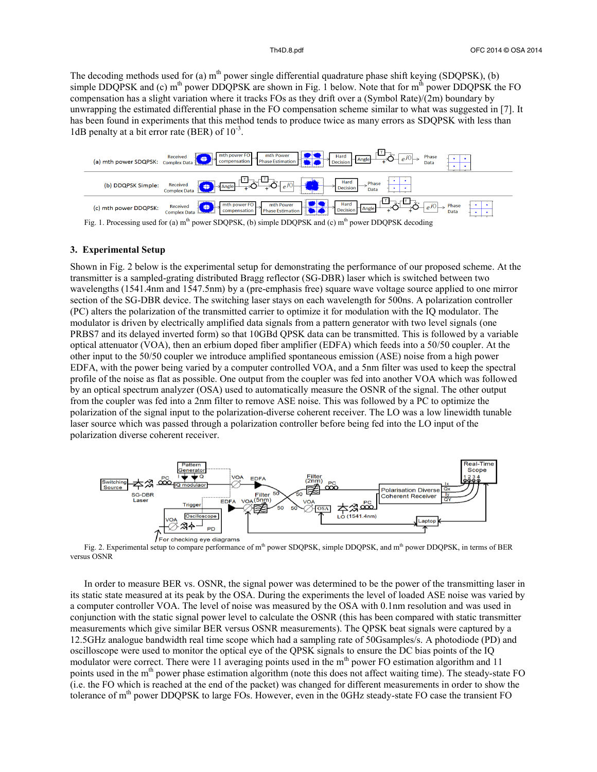The decoding methods used for (a)  $m<sup>th</sup>$  power single differential quadrature phase shift keying (SDQPSK), (b) simple DDQPSK and (c)  $m<sup>th</sup>$  power DDQPSK are shown in Fig. 1 below. Note that for  $m<sup>th</sup>$  power DDQPSK the FO compensation has a slight variation where it tracks FOs as they drift over a (Symbol Rate)/(2m) boundary by unwrapping the estimated differential phase in the FO compensation scheme similar to what was suggested in [7]. It has been found in experiments that this method tends to produce twice as many errors as SDQPSK with less than 1dB penalty at a bit error rate (BER) of  $10^{-3}$ .



### **3. Experimental Setup**

Shown in Fig. 2 below is the experimental setup for demonstrating the performance of our proposed scheme. At the transmitter is a sampled-grating distributed Bragg reflector (SG-DBR) laser which is switched between two wavelengths (1541.4nm and 1547.5nm) by a (pre-emphasis free) square wave voltage source applied to one mirror section of the SG-DBR device. The switching laser stays on each wavelength for 500ns. A polarization controller (PC) alters the polarization of the transmitted carrier to optimize it for modulation with the IQ modulator. The modulator is driven by electrically amplified data signals from a pattern generator with two level signals (one PRBS7 and its delayed inverted form) so that 10GBd QPSK data can be transmitted. This is followed by a variable optical attenuator (VOA), then an erbium doped fiber amplifier (EDFA) which feeds into a 50/50 coupler. At the other input to the 50/50 coupler we introduce amplified spontaneous emission (ASE) noise from a high power EDFA, with the power being varied by a computer controlled VOA, and a 5nm filter was used to keep the spectral profile of the noise as flat as possible. One output from the coupler was fed into another VOA which was followed by an optical spectrum analyzer (OSA) used to automatically measure the OSNR of the signal. The other output from the coupler was fed into a 2nm filter to remove ASE noise. This was followed by a PC to optimize the polarization of the signal input to the polarization-diverse coherent receiver. The LO was a low linewidth tunable laser source which was passed through a polarization controller before being fed into the LO input of the polarization diverse coherent receiver.



versus OSNR

In order to measure BER vs. OSNR, the signal power was determined to be the power of the transmitting laser in its static state measured at its peak by the OSA. During the experiments the level of loaded ASE noise was varied by a computer controller VOA. The level of noise was measured by the OSA with 0.1nm resolution and was used in conjunction with the static signal power level to calculate the OSNR (this has been compared with static transmitter measurements which give similar BER versus OSNR measurements). The QPSK beat signals were captured by a 12.5GHz analogue bandwidth real time scope which had a sampling rate of 50Gsamples/s. A photodiode (PD) and oscilloscope were used to monitor the optical eye of the QPSK signals to ensure the DC bias points of the IQ modulator were correct. There were 11 averaging points used in the m<sup>th</sup> power FO estimation algorithm and 11 points used in the m<sup>th</sup> power phase estimation algorithm (note this does not affect waiting time). The steady-state FO (i.e. the FO which is reached at the end of the packet) was changed for different measurements in order to show the tolerance of m<sup>th</sup> power DDQPSK to large FOs. However, even in the 0GHz steady-state FO case the transient FO